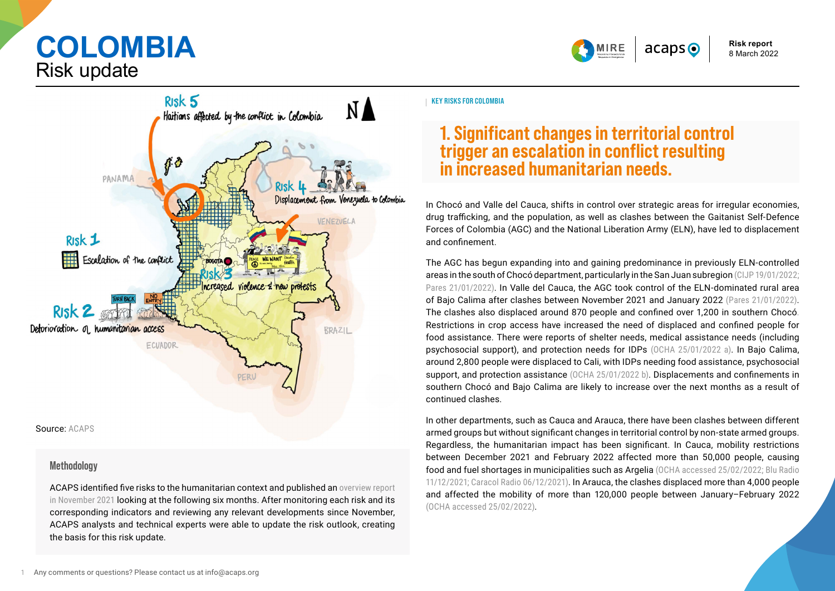**COLOMBIA** Risk update



**Risk report**  8 March 2022



#### **Methodology**

ACAPS identified five risks to the humanitarian context and published an [overview report](https://www.acaps.org/sites/acaps/files/products/files/20211115_acaps_mire_colombia_thematic_risk_report_november_2021_en.pdf)  [in November 2021](https://www.acaps.org/sites/acaps/files/products/files/20211115_acaps_mire_colombia_thematic_risk_report_november_2021_en.pdf) looking at the following six months. After monitoring each risk and its corresponding indicators and reviewing any relevant developments since November, ACAPS analysts and technical experts were able to update the risk outlook, creating the basis for this risk update.

**KEY RISKS FOR COLOMBIA**

# **1. Significant changes in territorial control trigger an escalation in conflict resulting in increased humanitarian needs.**

In Chocó and Valle del Cauca, shifts in control over strategic areas for irregular economies, drug trafficking, and the population, as well as clashes between the Gaitanist Self-Defence Forces of Colombia (AGC) and the National Liberation Army (ELN), have led to displacement and confinement.

The AGC has begun expanding into and gaining predominance in previously ELN-controlled areas in the south of Chocó department, particularly in the San Juan subregion [\(CIJP 19/01/2022;](https://www.justiciaypazcolombia.com/agc-asesinan-a-joven-en-bajo-calima-buenaventura/)  [Pares 21/01/2022\)](https://www.pares.com.co/post/buenaventura-acorralada-crisis-humanitaria-por-las-disputas-armadas). In Valle del Cauca, the AGC took control of the ELN-dominated rural area of Bajo Calima after clashes between November 2021 and January 2022 [\(Pares 21/01/2022\)](https://www.pares.com.co/post/buenaventura-acorralada-crisis-humanitaria-por-las-disputas-armadas). The clashes also displaced around 870 people and confined over 1,200 in southern Chocó. Restrictions in crop access have increased the need of displaced and confined people for food assistance. There were reports of shelter needs, medical assistance needs (including psychosocial support), and protection needs for IDPs [\(OCHA 25/01/2022 a\)](https://www.humanitarianresponse.info/sites/www.humanitarianresponse.info/files/documents/files/27012022_flash_update_no_1_desplazamientos_masivos_y_confinamiento_en_medio_san_juan_vf_2.pdf). In Bajo Calima, around 2,800 people were displaced to Cali, with IDPs needing food assistance, psychosocial support, and protection assistance [\(OCHA 25/01/2022 b\)](https://www.humanitarianresponse.info/sites/www.humanitarianresponse.info/files/documents/files/25012022-_actualizacion_ndeg2_-_desplazamiento_masivo_en_rio_bajo_calima_valle_del_cauca_vf.pdf). Displacements and confinements in southern Chocó and Bajo Calima are likely to increase over the next months as a result of continued clashes.

In other departments, such as Cauca and Arauca, there have been clashes between different armed groups but without significant changes in territorial control by non-state armed groups. Regardless, the humanitarian impact has been significant. In Cauca, mobility restrictions between December 2021 and February 2022 affected more than 50,000 people, causing food and fuel shortages in municipalities such as Argelia [\(OCHA accessed 25/02/2022;](https://monitor.salahumanitaria.co/) [Blu Radio](https://www.bluradio.com/nacion/paro-armado-genera-desabastecimiento-de-alimentos-y-combustible-en-argelia-cauca)  [11/12/2021;](https://www.bluradio.com/nacion/paro-armado-genera-desabastecimiento-de-alimentos-y-combustible-en-argelia-cauca) [Caracol Radio 06/12/2021\)](https://caracol.com.co/emisora/2021/12/06/popayan/1638793291_081578.html). In Arauca, the clashes displaced more than 4,000 people and affected the mobility of more than 120,000 people between January–February 2022 [\(OCHA accessed 25/02/2022\)](https://monitor.salahumanitaria.co/).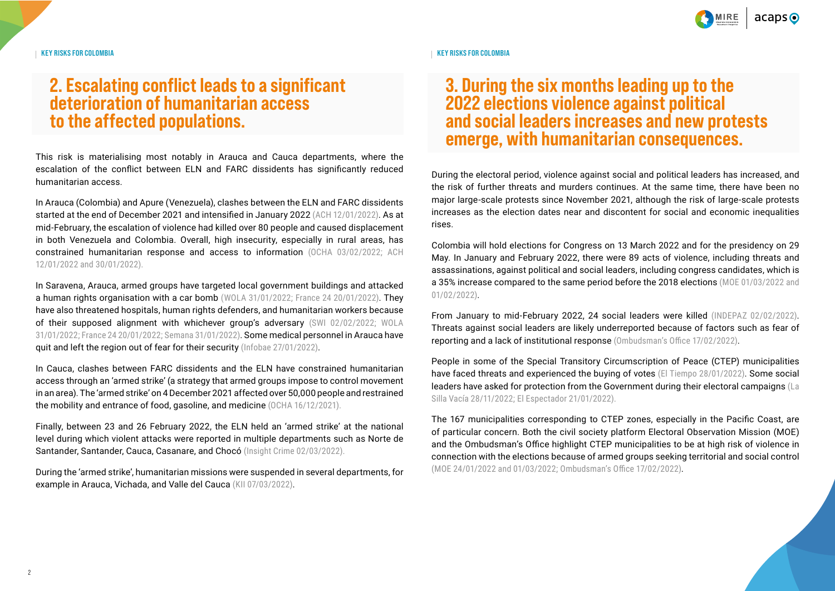

**KEY RISKS FOR COLOMBIA**

## **2. Escalating conflict leads to a significant deterioration of humanitarian access to the affected populations.**

This risk is materialising most notably in Arauca and Cauca departments, where the escalation of the conflict between ELN and FARC dissidents has significantly reduced humanitarian access.

In Arauca (Colombia) and Apure (Venezuela), clashes between the ELN and FARC dissidents started at the end of December 2021 and intensified in January 2022 [\(ACH 12/01/2022\)](https://www.humanitarianresponse.info/sites/www.humanitarianresponse.info/files/documents/files/sitrep_arauca_12ene2022_.pdf). As at mid-February, the escalation of violence had killed over 80 people and caused displacement in both Venezuela and Colombia. Overall, high insecurity, especially in rural areas, has constrained humanitarian response and access to information [\(OCHA 03/02/2022;](https://www.humanitarianresponse.info/en/operations/colombia/document/flash-update-n%C2%B02-desplazamiento-masivo-y-necesidades-de-protecci%C3%B3n) [ACH](https://www.humanitarianresponse.info/sites/www.humanitarianresponse.info/files/documents/files/sitrep_arauca_12ene2022_.pdf)  [12/01/2022 and](https://www.humanitarianresponse.info/sites/www.humanitarianresponse.info/files/documents/files/sitrep_arauca_12ene2022_.pdf) [30/01/2022\)](https://assessments.hpc.tools/assessment/evaluacion-rapida-de-necesidades-arauca-arauquita-tame-fortul-y-saravena-arauca-mire).

In Saravena, Arauca, armed groups have targeted local government buildings and attacked a human rights organisation with a car bomb [\(WOLA 31/01/2022;](https://www.wola.org/2022/01/colombia-begins-2022-with-alarming-violence/) [France 24 20/01/2022\)](https://www.france24.com/es/minuto-a-minuto/20220120-un-muerto-y-varios-heridos-deja-carro-bomba-en-frontera-entre-colombia-y-venezuela). They have also threatened hospitals, human rights defenders, and humanitarian workers because of their supposed alignment with whichever group's adversary [\(SWI 02/02/2022;](https://www.swissinfo.ch/spa/colombia-conflicto_cicr-pide-a-guerrillas-respetar-normas-humanitarias-en-su-guerra-en-colombia/47315568) [WOLA](https://www.wola.org/2022/01/colombia-begins-2022-with-alarming-violence/)  [31/01/2022;](https://www.wola.org/2022/01/colombia-begins-2022-with-alarming-violence/) [France 24 20/01/2022;](https://www.france24.com/es/minuto-a-minuto/20220120-un-muerto-y-varios-heridos-deja-carro-bomba-en-frontera-entre-colombia-y-venezuela) [Semana 31/01/2022\)](https://www.semana.com/nacion/articulo/la-amenaza-de-disidencias-de-las-farc-a-hospitales-y-empresas-en-arauca/202232/). Some medical personnel in Arauca have quit and left the region out of fear for their security [\(Infobae 27/01/2022\)](https://www.infobae.com/america/colombia/2022/01/27/conflicto-en-arauca-desata-renuncia-de-personal-medico/).

In Cauca, clashes between FARC dissidents and the ELN have constrained humanitarian access through an 'armed strike' (a strategy that armed groups impose to control movement in an area). The 'armed strike' on 4 December 2021 affected over 50,000 people and restrained the mobility and entrance of food, gasoline, and medicine [\(OCHA 16/12/2021\).](https://www.humanitarianresponse.info/sites/www.humanitarianresponse.info/files/documents/files/17122021_flash_update_no_2_desplazamientos_y_riesgos_en_argelia_cauca_vf.pdf)

Finally, between 23 and 26 February 2022, the ELN held an 'armed strike' at the national level during which violent attacks were reported in multiple departments such as Norte de Santander, Santander, Cauca, Casanare, and Chocó ([Insight Crime 02/03/2022\).](https://insightcrime.org/news/eln-show-of-force-confirms-its-unmatched-criminal-presence-in-colombia/)

During the 'armed strike', humanitarian missions were suspended in several departments, for example in Arauca, Vichada, and Valle del Cauca (KII 07/03/2022).

#### **KEY RISKS FOR COLOMBIA**

### **3. During the six months leading up to the 2022 elections violence against political and social leaders increases and new protests emerge, with humanitarian consequences.**

During the electoral period, violence against social and political leaders has increased, and the risk of further threats and murders continues. At the same time, there have been no major large-scale protests since November 2021, although the risk of large-scale protests increases as the election dates near and discontent for social and economic inequalities rises.

Colombia will hold elections for Congress on 13 March 2022 and for the presidency on 29 May. In January and February 2022, there were 89 acts of violence, including threats and assassinations, against political and social leaders, including congress candidates, which is a 35% increase compared to the same period before the 2018 elections [\(MOE 01/03/2022](https://www.moe.org.co/wp-content/uploads/2022/03/Sexto-informe-preelectoral-de-violencia.pdfhttps:/www.moe.org.co/wp-content/uploads/2022/03/Sexto-informe-preelectoral-de-violencia.pdf) and [01/02/2022\)](https://www.moe.org.co/comision-nacional-para-la-coordinacion-y-seguimiento-de-los-procesos-electorales-elecciones-congreso-y-presidencia-de-la-republica-2022/).

From January to mid-February 2022, 24 social leaders were killed [\(INDEPAZ 02/02/2022\)](https://indepaz.org.co/lideres-sociales-defensores-de-dd-hh-y-firmantes-de-acuerdo-asesinados-en-2022/). Threats against social leaders are likely underreported because of factors such as fear of reporting and a lack of institutional response [\(Ombudsman's Office 17/02/2022\)](https://alertasstg.blob.core.windows.net/alertas/004-22.pdf).

People in some of the Special Transitory Circumscription of Peace (CTEP) municipalities have faced threats and experienced the buying of votes [\(El Tiempo 28/01/2022\)](https://www.eltiempo.com/colombia/otras-ciudades/amenazas-de-fraude-y-violencia-electoral-en-montes-de-maria-denuncia-la-moe-647678). Some social leaders have asked for protection from the Government during their electoral campaigns [\(La](https://www.lasillavacia.com/historias/historias-silla-llena/estos-son-los-riesgos-de-las-curules-de-paz-en-el-caribe/)  [Silla Vacía 28/11/2022;](https://www.lasillavacia.com/historias/historias-silla-llena/estos-son-los-riesgos-de-las-curules-de-paz-en-el-caribe/) [El Espectador 21/01/2022\).](https://www.elespectador.com/colombia-20/paz-y-memoria/curules-de-paz-falta-de-recursos-y-violencia-son-los-mayores-riesgos/)

The 167 municipalities corresponding to CTEP zones, especially in the Pacific Coast, are of particular concern. Both the civil society platform Electoral Observation Mission (MOE) and the Ombudsman's Office highlight CTEP municipalities to be at high risk of violence in connection with the elections because of armed groups seeking territorial and social control (MOE 24/01/2022 and [01/03/2022;](https://www.moe.org.co/wp-content/uploads/2022/03/Sexto-informe-preelectoral-de-violencia.pdfhttps:/www.moe.org.co/wp-content/uploads/2022/03/Sexto-informe-preelectoral-de-violencia.pdf) [Ombudsman's Office 17/02/2022\)](https://alertasstg.blob.core.windows.net/alertas/004-22.pdf).